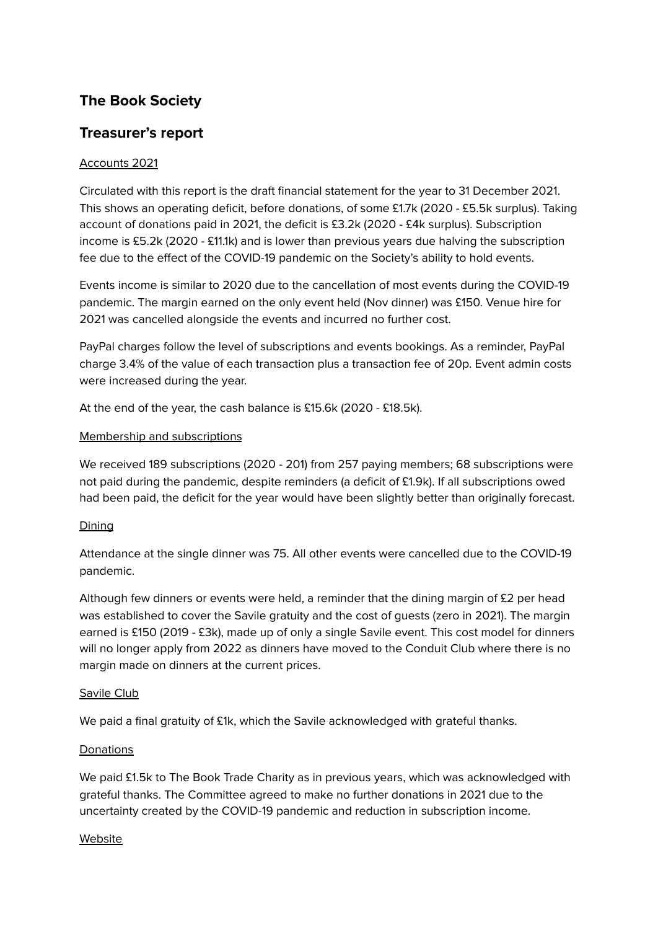# **The Book Society**

# **Treasurer's report**

## Accounts 2021

Circulated with this report is the draft financial statement for the year to 31 December 2021. This shows an operating deficit, before donations, of some £1.7k (2020 - £5.5k surplus). Taking account of donations paid in 2021, the deficit is £3.2k (2020 - £4k surplus). Subscription income is £5.2k (2020 - £11.1k) and is lower than previous years due halving the subscription fee due to the effect of the COVID-19 pandemic on the Society's ability to hold events.

Events income is similar to 2020 due to the cancellation of most events during the COVID-19 pandemic. The margin earned on the only event held (Nov dinner) was £150. Venue hire for 2021 was cancelled alongside the events and incurred no further cost.

PayPal charges follow the level of subscriptions and events bookings. As a reminder, PayPal charge 3.4% of the value of each transaction plus a transaction fee of 20p. Event admin costs were increased during the year.

At the end of the year, the cash balance is £15.6k (2020 - £18.5k).

#### Membership and subscriptions

We received 189 subscriptions (2020 - 201) from 257 paying members; 68 subscriptions were not paid during the pandemic, despite reminders (a deficit of £1.9k). If all subscriptions owed had been paid, the deficit for the year would have been slightly better than originally forecast.

### **Dining**

Attendance at the single dinner was 75. All other events were cancelled due to the COVID-19 pandemic.

Although few dinners or events were held, a reminder that the dining margin of  $£2$  per head was established to cover the Savile gratuity and the cost of guests (zero in 2021). The margin earned is £150 (2019 - £3k), made up of only a single Savile event. This cost model for dinners will no longer apply from 2022 as dinners have moved to the Conduit Club where there is no margin made on dinners at the current prices.

#### Savile Club

We paid a final gratuity of £1k, which the Savile acknowledged with grateful thanks.

### **Donations**

We paid £1.5k to The Book Trade Charity as in previous years, which was acknowledged with grateful thanks. The Committee agreed to make no further donations in 2021 due to the uncertainty created by the COVID-19 pandemic and reduction in subscription income.

#### **Website**